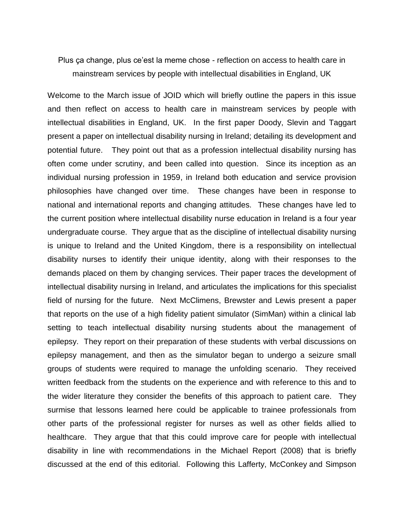Plus ça change, plus ce'est la meme chose - reflection on access to health care in mainstream services by people with intellectual disabilities in England, UK

Welcome to the March issue of JOID which will briefly outline the papers in this issue and then reflect on access to health care in mainstream services by people with intellectual disabilities in England, UK. In the first paper Doody, Slevin and Taggart present a paper on intellectual disability nursing in Ireland; detailing its development and potential future. They point out that as a profession intellectual disability nursing has often come under scrutiny, and been called into question. Since its inception as an individual nursing profession in 1959, in Ireland both education and service provision philosophies have changed over time. These changes have been in response to national and international reports and changing attitudes. These changes have led to the current position where intellectual disability nurse education in Ireland is a four year undergraduate course. They argue that as the discipline of intellectual disability nursing is unique to Ireland and the United Kingdom, there is a responsibility on intellectual disability nurses to identify their unique identity, along with their responses to the demands placed on them by changing services. Their paper traces the development of intellectual disability nursing in Ireland, and articulates the implications for this specialist field of nursing for the future. Next McClimens, Brewster and Lewis present a paper that reports on the use of a high fidelity patient simulator (SimMan) within a clinical lab setting to teach intellectual disability nursing students about the management of epilepsy. They report on their preparation of these students with verbal discussions on epilepsy management, and then as the simulator began to undergo a seizure small groups of students were required to manage the unfolding scenario. They received written feedback from the students on the experience and with reference to this and to the wider literature they consider the benefits of this approach to patient care. They surmise that lessons learned here could be applicable to trainee professionals from other parts of the professional register for nurses as well as other fields allied to healthcare. They argue that that this could improve care for people with intellectual disability in line with recommendations in the Michael Report (2008) that is briefly discussed at the end of this editorial. Following this Lafferty, McConkey and Simpson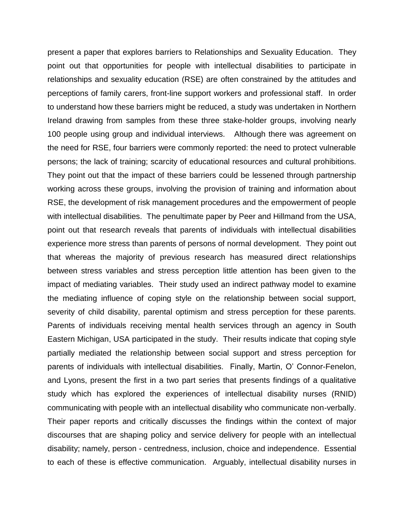present a paper that explores barriers to Relationships and Sexuality Education. They point out that opportunities for people with intellectual disabilities to participate in relationships and sexuality education (RSE) are often constrained by the attitudes and perceptions of family carers, front-line support workers and professional staff. In order to understand how these barriers might be reduced, a study was undertaken in Northern Ireland drawing from samples from these three stake-holder groups, involving nearly 100 people using group and individual interviews. Although there was agreement on the need for RSE, four barriers were commonly reported: the need to protect vulnerable persons; the lack of training; scarcity of educational resources and cultural prohibitions. They point out that the impact of these barriers could be lessened through partnership working across these groups, involving the provision of training and information about RSE, the development of risk management procedures and the empowerment of people with intellectual disabilities. The penultimate paper by Peer and Hillmand from the USA, point out that research reveals that parents of individuals with intellectual disabilities experience more stress than parents of persons of normal development. They point out that whereas the majority of previous research has measured direct relationships between stress variables and stress perception little attention has been given to the impact of mediating variables. Their study used an indirect pathway model to examine the mediating influence of coping style on the relationship between social support, severity of child disability, parental optimism and stress perception for these parents. Parents of individuals receiving mental health services through an agency in South Eastern Michigan, USA participated in the study. Their results indicate that coping style partially mediated the relationship between social support and stress perception for parents of individuals with intellectual disabilities. Finally, Martin, O' Connor-Fenelon, and Lyons, present the first in a two part series that presents findings of a qualitative study which has explored the experiences of intellectual disability nurses (RNID) communicating with people with an intellectual disability who communicate non-verbally. Their paper reports and critically discusses the findings within the context of major discourses that are shaping policy and service delivery for people with an intellectual disability; namely, person - centredness, inclusion, choice and independence. Essential to each of these is effective communication. Arguably, intellectual disability nurses in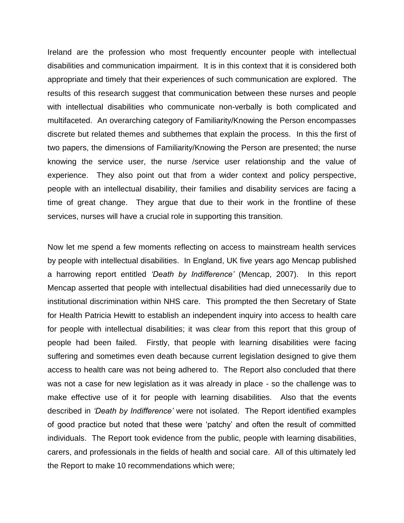Ireland are the profession who most frequently encounter people with intellectual disabilities and communication impairment. It is in this context that it is considered both appropriate and timely that their experiences of such communication are explored. The results of this research suggest that communication between these nurses and people with intellectual disabilities who communicate non-verbally is both complicated and multifaceted. An overarching category of Familiarity/Knowing the Person encompasses discrete but related themes and subthemes that explain the process. In this the first of two papers, the dimensions of Familiarity/Knowing the Person are presented; the nurse knowing the service user, the nurse /service user relationship and the value of experience. They also point out that from a wider context and policy perspective, people with an intellectual disability, their families and disability services are facing a time of great change. They argue that due to their work in the frontline of these services, nurses will have a crucial role in supporting this transition.

Now let me spend a few moments reflecting on access to mainstream health services by people with intellectual disabilities. In England, UK five years ago Mencap published a harrowing report entitled *'Death by Indifference'* (Mencap, 2007). In this report Mencap asserted that people with intellectual disabilities had died unnecessarily due to institutional discrimination within NHS care. This prompted the then Secretary of State for Health Patricia Hewitt to establish an independent inquiry into access to health care for people with intellectual disabilities; it was clear from this report that this group of people had been failed. Firstly, that people with learning disabilities were facing suffering and sometimes even death because current legislation designed to give them access to health care was not being adhered to. The Report also concluded that there was not a case for new legislation as it was already in place - so the challenge was to make effective use of it for people with learning disabilities. Also that the events described in *'Death by Indifference'* were not isolated. The Report identified examples of good practice but noted that these were 'patchy' and often the result of committed individuals. The Report took evidence from the public, people with learning disabilities, carers, and professionals in the fields of health and social care. All of this ultimately led the Report to make 10 recommendations which were;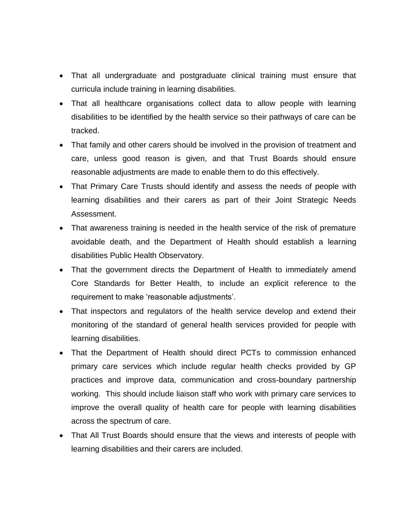- That all undergraduate and postgraduate clinical training must ensure that curricula include training in learning disabilities.
- That all healthcare organisations collect data to allow people with learning disabilities to be identified by the health service so their pathways of care can be tracked.
- That family and other carers should be involved in the provision of treatment and care, unless good reason is given, and that Trust Boards should ensure reasonable adjustments are made to enable them to do this effectively.
- That Primary Care Trusts should identify and assess the needs of people with learning disabilities and their carers as part of their Joint Strategic Needs Assessment.
- That awareness training is needed in the health service of the risk of premature avoidable death, and the Department of Health should establish a learning disabilities Public Health Observatory.
- That the government directs the Department of Health to immediately amend Core Standards for Better Health, to include an explicit reference to the requirement to make 'reasonable adjustments'.
- That inspectors and regulators of the health service develop and extend their monitoring of the standard of general health services provided for people with learning disabilities.
- That the Department of Health should direct PCTs to commission enhanced primary care services which include regular health checks provided by GP practices and improve data, communication and cross-boundary partnership working. This should include liaison staff who work with primary care services to improve the overall quality of health care for people with learning disabilities across the spectrum of care.
- That All Trust Boards should ensure that the views and interests of people with learning disabilities and their carers are included.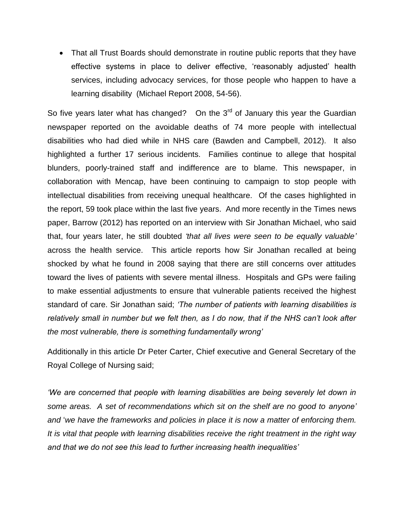That all Trust Boards should demonstrate in routine public reports that they have effective systems in place to deliver effective, 'reasonably adjusted' health services, including advocacy services, for those people who happen to have a learning disability (Michael Report 2008, 54-56).

So five years later what has changed? On the  $3<sup>rd</sup>$  of January this year the Guardian newspaper reported on the avoidable deaths of 74 more people with intellectual disabilities who had died while in NHS care (Bawden and Campbell, 2012). It also highlighted a further 17 serious incidents. Families continue to allege that hospital blunders, poorly-trained staff and indifference are to blame. This newspaper, in collaboration with Mencap, have been continuing to campaign to stop people with intellectual disabilities from receiving unequal healthcare. Of the cases highlighted in the report, 59 took place within the last five years. And more recently in the Times news paper, Barrow (2012) has reported on an interview with Sir Jonathan Michael, who said that, four years later, he still doubted *'that all lives were seen to be equally valuable'* across the health service. This article reports how Sir Jonathan recalled at being shocked by what he found in 2008 saying that there are still concerns over attitudes toward the lives of patients with severe mental illness. Hospitals and GPs were failing to make essential adjustments to ensure that vulnerable patients received the highest standard of care. Sir Jonathan said; *'The number of patients with learning disabilities is relatively small in number but we felt then, as I do now, that if the NHS can't look after the most vulnerable, there is something fundamentally wrong'*

Additionally in this article Dr Peter Carter, Chief executive and General Secretary of the Royal College of Nursing said;

*'We are concerned that people with learning disabilities are being severely let down in some areas. A set of recommendations which sit on the shelf are no good to anyone' and* '*we have the frameworks and policies in place it is now a matter of enforcing them. It is vital that people with learning disabilities receive the right treatment in the right way and that we do not see this lead to further increasing health inequalities'*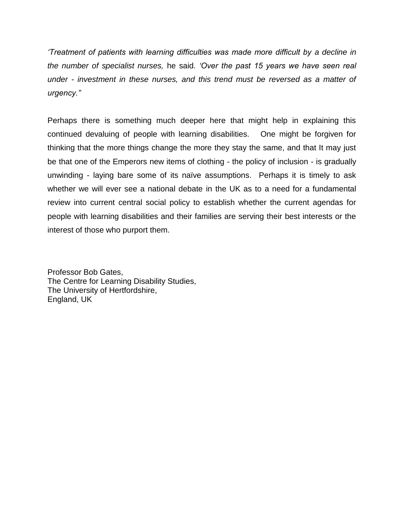*'Treatment of patients with learning difficulties was made more difficult by a decline in the number of specialist nurses,* he said*. 'Over the past 15 years we have seen real under - investment in these nurses, and this trend must be reversed as a matter of urgency."* 

Perhaps there is something much deeper here that might help in explaining this continued devaluing of people with learning disabilities. One might be forgiven for thinking that the more things change the more they stay the same, and that It may just be that one of the Emperors new items of clothing - the policy of inclusion - is gradually unwinding - laying bare some of its naïve assumptions. Perhaps it is timely to ask whether we will ever see a national debate in the UK as to a need for a fundamental review into current central social policy to establish whether the current agendas for people with learning disabilities and their families are serving their best interests or the interest of those who purport them.

Professor Bob Gates, The Centre for Learning Disability Studies, The University of Hertfordshire, England, UK